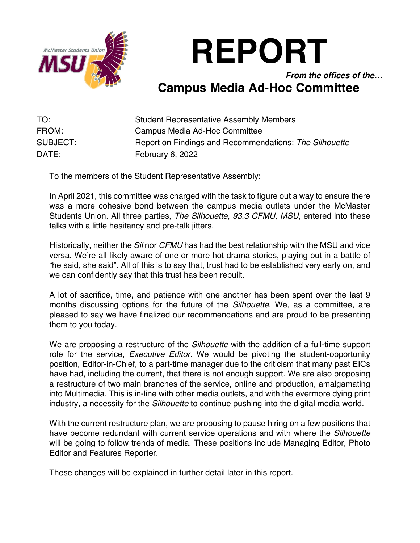

# **REPORT**

*From the offices of the…*

## **Campus Media Ad-Hoc Committee**

| TO:      | <b>Student Representative Assembly Members</b>         |
|----------|--------------------------------------------------------|
| FROM:    | Campus Media Ad-Hoc Committee                          |
| SUBJECT: | Report on Findings and Recommendations: The Silhouette |
| DATE:    | February 6, 2022                                       |

To the members of the Student Representative Assembly:

In April 2021, this committee was charged with the task to figure out a way to ensure there was a more cohesive bond between the campus media outlets under the McMaster Students Union. All three parties, *The Silhouette, 93.3 CFMU, MSU*, entered into these talks with a little hesitancy and pre-talk jitters.

Historically, neither the *Sil* nor *CFMU* has had the best relationship with the MSU and vice versa. We're all likely aware of one or more hot drama stories, playing out in a battle of "he said, she said". All of this is to say that, trust had to be established very early on, and we can confidently say that this trust has been rebuilt.

A lot of sacrifice, time, and patience with one another has been spent over the last 9 months discussing options for the future of the *Silhouette*. We, as a committee, are pleased to say we have finalized our recommendations and are proud to be presenting them to you today.

We are proposing a restructure of the *Silhouette* with the addition of a full-time support role for the service, *Executive Editor.* We would be pivoting the student-opportunity position, Editor-in-Chief, to a part-time manager due to the criticism that many past EICs have had, including the current, that there is not enough support. We are also proposing a restructure of two main branches of the service, online and production, amalgamating into Multimedia. This is in-line with other media outlets, and with the evermore dying print industry, a necessity for the *Silhouette* to continue pushing into the digital media world.

With the current restructure plan, we are proposing to pause hiring on a few positions that have become redundant with current service operations and with where the *Silhouette* will be going to follow trends of media. These positions include Managing Editor, Photo Editor and Features Reporter.

These changes will be explained in further detail later in this report.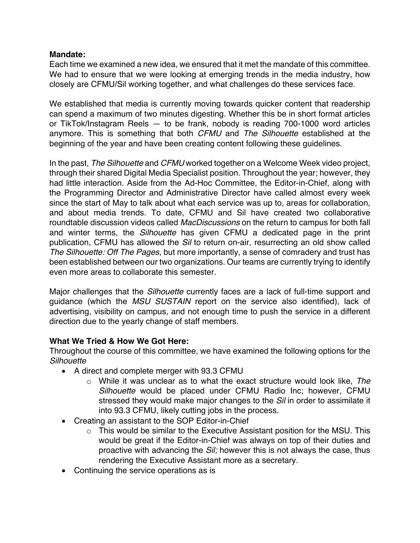#### **Mandate:**

Each time we examined a new idea, we ensured that it met the mandate of this committee. We had to ensure that we were looking at emerging trends in the media industry, how closely are CFMU/Sil working together, and what challenges do these services face.

We established that media is currently moving towards quicker content that readership can spend a maximum of two minutes digesting. Whether this be in short format articles or TikTok/Instagram Reels — to be frank, nobody is reading 700-1000 word articles anymore. This is something that both *CFMU* and *The Silhouette* established at the beginning of the year and have been creating content following these guidelines.

In the past, *The Silhouette* and *CFMU* worked together on a Welcome Week video project, through their shared Digital Media Specialist position. Throughout the year; however, they had little interaction. Aside from the Ad-Hoc Committee, the Editor-in-Chief, along with the Programming Director and Administrative Director have called almost every week since the start of May to talk about what each service was up to, areas for collaboration, and about media trends. To date, CFMU and Sil have created two collaborative roundtable discussion videos called *MacDiscussions* on the return to campus for both fall and winter terms, the *Silhouette* has given CFMU a dedicated page in the print publication, CFMU has allowed the *Sil* to return on-air, resurrecting an old show called *The Silhouette: Off The Pages*, but more importantly, a sense of comradery and trust has been established between our two organizations. Our teams are currently trying to identify even more areas to collaborate this semester

Major challenges that the *Silhouette* currently faces are a lack of full-time support and guidance (which the *MSU SUSTAIN* report on the service also identified), lack of advertising, visibility on campus, and not enough time to push the service in a different direction due to the yearly change of staff members.

### **What We Tried & How We Got Here:**

Throughout the course of this committee, we have examined the following options for the *Silhouette*

- A direct and complete merger with 93.3 CFMU
	- o While it was unclear as to what the exact structure would look like, *The Silhouette* would be placed under CFMU Radio Inc; however, CFMU stressed they would make major changes to the *Sil* in order to assimilate it into 93.3 CFMU, likely cutting jobs in the process.
- Creating an assistant to the SOP Editor-in-Chief
	- o This would be similar to the Executive Assistant position for the MSU. This would be great if the Editor-in-Chief was always on top of their duties and proactive with advancing the *Sil;* however this is not always the case, thus rendering the Executive Assistant more as a secretary.
- Continuing the service operations as is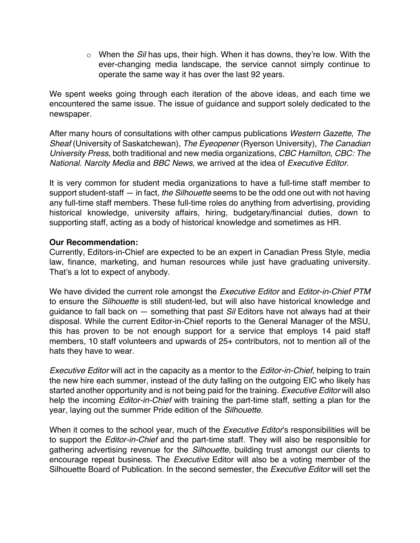o When the *Sil* has ups, their high. When it has downs, they're low. With the ever-changing media landscape, the service cannot simply continue to operate the same way it has over the last 92 years.

We spent weeks going through each iteration of the above ideas, and each time we encountered the same issue. The issue of guidance and support solely dedicated to the newspaper.

After many hours of consultations with other campus publications *Western Gazette*, *The Sheaf* (University of Saskatchewan), *The Eyeopener* (Ryerson University)*, The Canadian University Press*, both traditional and new media organizations, *CBC Hamilton, CBC: The National. Narcity Media* and *BBC News*, we arrived at the idea of *Executive Editor.* 

It is very common for student media organizations to have a full-time staff member to support student-staff — in fact, *the Silhouette* seems to be the odd one out with not having any full-time staff members. These full-time roles do anything from advertising, providing historical knowledge, university affairs, hiring, budgetary/financial duties, down to supporting staff, acting as a body of historical knowledge and sometimes as HR.

#### **Our Recommendation:**

Currently, Editors-in-Chief are expected to be an expert in Canadian Press Style, media law, finance, marketing, and human resources while just have graduating university. That's a lot to expect of anybody.

We have divided the current role amongst the *Executive Editor* and *Editor-in-Chief PTM* to ensure the *Silhouette* is still student-led, but will also have historical knowledge and guidance to fall back on — something that past *Sil* Editors have not always had at their disposal. While the current Editor-in-Chief reports to the General Manager of the MSU, this has proven to be not enough support for a service that employs 14 paid staff members, 10 staff volunteers and upwards of 25+ contributors, not to mention all of the hats they have to wear.

*Executive Editor* will act in the capacity as a mentor to the *Editor-in-Chief*, helping to train the new hire each summer, instead of the duty falling on the outgoing EIC who likely has started another opportunity and is not being paid for the training. *Executive Editor* will also help the incoming *Editor-in-Chief* with training the part-time staff, setting a plan for the year, laying out the summer Pride edition of the *Silhouette*.

When it comes to the school year, much of the *Executive Editor*'s responsibilities will be to support the *Editor-in-Chief* and the part-time staff. They will also be responsible for gathering advertising revenue for the *Silhouette*, building trust amongst our clients to encourage repeat business. The *Executive* Editor will also be a voting member of the Silhouette Board of Publication. In the second semester, the *Executive Editor* will set the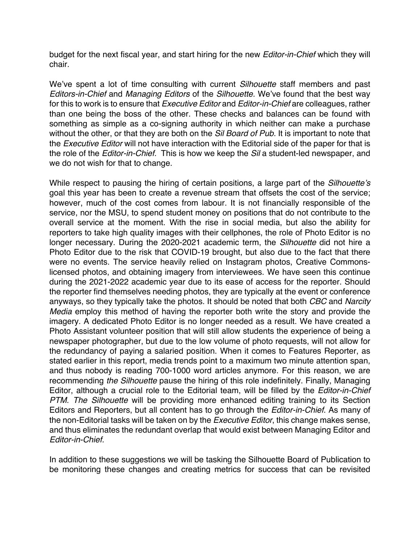budget for the next fiscal year, and start hiring for the new *Editor-in-Chief* which they will chair.

We've spent a lot of time consulting with current *Silhouette* staff members and past *Editors-in-Chief* and *Managing Editors* of the *Silhouette.* We've found that the best way for this to work is to ensure that *Executive Editor* and *Editor-in-Chief* are colleagues, rather than one being the boss of the other. These checks and balances can be found with something as simple as a co-signing authority in which neither can make a purchase without the other, or that they are both on the *Sil Board of Pub.* It is important to note that the *Executive Editor* will not have interaction with the Editorial side of the paper for that is the role of the *Editor-in-Chief.* This is how we keep the *Sil* a student-led newspaper, and we do not wish for that to change.

While respect to pausing the hiring of certain positions, a large part of the *Silhouette's*  goal this year has been to create a revenue stream that offsets the cost of the service; however, much of the cost comes from labour. It is not financially responsible of the service, nor the MSU, to spend student money on positions that do not contribute to the overall service at the moment. With the rise in social media, but also the ability for reporters to take high quality images with their cellphones, the role of Photo Editor is no longer necessary. During the 2020-2021 academic term, the *Silhouette* did not hire a Photo Editor due to the risk that COVID-19 brought, but also due to the fact that there were no events. The service heavily relied on Instagram photos, Creative Commonslicensed photos, and obtaining imagery from interviewees. We have seen this continue during the 2021-2022 academic year due to its ease of access for the reporter. Should the reporter find themselves needing photos, they are typically at the event or conference anyways, so they typically take the photos. It should be noted that both *CBC* and *Narcity Media* employ this method of having the reporter both write the story and provide the imagery. A dedicated Photo Editor is no longer needed as a result. We have created a Photo Assistant volunteer position that will still allow students the experience of being a newspaper photographer, but due to the low volume of photo requests, will not allow for the redundancy of paying a salaried position. When it comes to Features Reporter, as stated earlier in this report, media trends point to a maximum two minute attention span, and thus nobody is reading 700-1000 word articles anymore. For this reason, we are recommending *the Silhouette* pause the hiring of this role indefinitely. Finally, Managing Editor, although a crucial role to the Editorial team, will be filled by the *Editor-in-Chief PTM*. *The Silhouette* will be providing more enhanced editing training to its Section Editors and Reporters, but all content has to go through the *Editor-in-Chief*. As many of the non-Editorial tasks will be taken on by the *Executive Editor*, this change makes sense, and thus eliminates the redundant overlap that would exist between Managing Editor and *Editor-in-Chief.*

In addition to these suggestions we will be tasking the Silhouette Board of Publication to be monitoring these changes and creating metrics for success that can be revisited